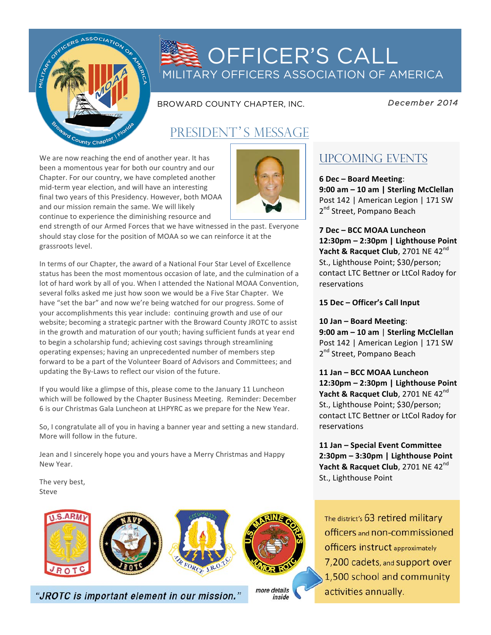

# OFFICER'S CALL MILITARY OFFICERS ASSOCIATION OF AMERICA

BROWARD COUNTY CHAPTER, INC.

 *December 2014* 

## PRESIDENT'S MESSAGE

We are now reaching the end of another year. It has been a momentous year for both our country and our Chapter. For our country, we have completed another mid-term year election, and will have an interesting final two years of this Presidency. However, both MOAA and our mission remain the same. We will likely continue to experience the diminishing resource and



inside

end strength of our Armed Forces that we have witnessed in the past. Everyone should stay close for the position of MOAA so we can reinforce it at the grassroots level.

In terms of our Chapter, the award of a National Four Star Level of Excellence status has been the most momentous occasion of late, and the culmination of a lot of hard work by all of you. When I attended the National MOAA Convention, several folks asked me just how soon we would be a Five Star Chapter. We have "set the bar" and now we're being watched for our progress. Some of your accomplishments this year include: continuing growth and use of our website; becoming a strategic partner with the Broward County JROTC to assist in the growth and maturation of our youth; having sufficient funds at year end to begin a scholarship fund; achieving cost savings through streamlining operating expenses; having an unprecedented number of members step forward to be a part of the Volunteer Board of Advisors and Committees; and updating the By-Laws to reflect our vision of the future.

If you would like a glimpse of this, please come to the January 11 Luncheon which will be followed by the Chapter Business Meeting. Reminder: December 6 is our Christmas Gala Luncheon at LHPYRC as we prepare for the New Year.

So, I congratulate all of you in having a banner year and setting a new standard. More will follow in the future.

Jean and I sincerely hope you and yours have a Merry Christmas and Happy New Year. 

The very best, Steve 



"JROTC is important element in our mission."

## UPCOMING EVENTS

**6 Dec – Board Meeting**: **9:00 am – 10 am | Sterling McClellan** Post 142 | American Legion | 171 SW 2<sup>nd</sup> Street, Pompano Beach

**7** Dec – BCC MOAA Luncheon **12:30pm – 2:30pm | Lighthouse Point**  Yacht & Racquet Club, 2701 NE 42<sup>nd</sup> St., Lighthouse Point; \$30/person; contact LTC Bettner or LtCol Radoy for reservations

#### 15 Dec – Officer's Call Input

**10 Jan – Board Meeting**: **9:00 am – 10 am** | **Sterling McClellan** Post 142 | American Legion | 171 SW 2<sup>nd</sup> Street, Pompano Beach

11 Jan – BCC MOAA Luncheon **12:30pm – 2:30pm | Lighthouse Point Yacht & Racquet Club**, 2701 NE 42<sup>nd</sup> St., Lighthouse Point; \$30/person; contact LTC Bettner or LtCol Radoy for reservations

**11 Jan – Special Event Committee 2:30pm – 3:30pm | Lighthouse Point Yacht & Racquet Club**, 2701 NE 42<sup>nd</sup> St., Lighthouse Point

The district's 63 retired military officers and non-commissioned **officers instruct approximately** 7,200 cadets, and support over 1,500 school and community activities annually.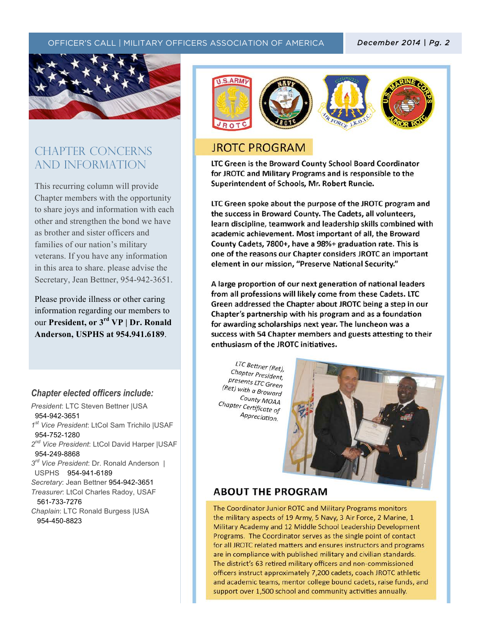

### CHAPTER CONCERNs AND INFORMATION

This recurring column will provide Chapter members with the opportunity to share joys and information with each other and strengthen the bond we have as brother and sister officers and families of our nation's military veterans. If you have any information in this area to share. please advise the Secretary, Jean Bettner, 954-942-3651.

Please provide illness or other caring information regarding our members to our **President, or 3rd VP | Dr. Ronald Anderson, USPHS at 954.941.6189**.

#### *Chapter elected officers include:*

*President*: LTC Steven Bettner |USA 954-942-3651 *1st Vice President*: LtCol Sam Trichilo |USAF 954-752-1280 *2nd Vice President*: LtCol David Harper |USAF 954-249-8868 *3rd Vice President*: Dr. Ronald Anderson | USPHS 954-941-6189 *Secretary*: Jean Bettner 954-942-3651 *Treasurer*: LtCol Charles Radoy, USAF 561-733-7276 *Chaplain*: LTC Ronald Burgess |USA

954-450-8823



### **JROTC PROGRAM**

 $\mathcal{T}_{\mathcal{A}}$  (the text)  $\mathcal{T}_{\mathcal{A}}$  (the text)  $\mathcal{T}_{\mathcal{A}}$  (the text)  $\mathcal{T}_{\mathcal{A}}$  (the text)  $\mathcal{T}_{\mathcal{A}}$ 

LTC Green is the Broward County School Board Coordinator for JROTC and Military Programs and is responsible to the Superintendent of Schools, Mr. Robert Runcie.

LTC Green spoke about the purpose of the JROTC program and the success in Broward County. The Cadets, all volunteers, learn discipline, teamwork and leadership skills combined with academic achievement. Most important of all, the Broward County Cadets, 7800+, have a 98%+ graduation rate. This is one of the reasons our Chapter considers JROTC an important element in our mission, "Preserve National Security."

A large proportion of our next generation of national leaders from all professions will likely come from these Cadets. LTC Green addressed the Chapter about JROTC being a step in our Chapter's partnership with his program and as a foundation for awarding scholarships next year. The luncheon was a success with 54 Chapter members and guests attesting to their enthusiasm of the JROTC initiatives.

LTC Bettner (Ret), Chapter President, *Presents LTC Green*<br>*Presents LTC Green* (Ret) with a Broward County MOAA County MOAA<br>Chapter Certificate of Appreciation.



#### **ABOUT THE PROGRAM**

The Coordinator Junior ROTC and Military Programs monitors the military aspects of 19 Army, 5 Navy, 3 Air Force, 2 Marine, 1 Military Academy and 12 Middle School Leadership Development Programs. The Coordinator serves as the single point of contact for all JROTC related matters and ensures instructors and programs are in compliance with published military and civilian standards. The district's 63 retired military officers and non-commissioned officers instruct approximately 7,200 cadets, coach JROTC athletic and academic teams, mentor college bound cadets, raise funds, and support over 1,500 school and community activities annually.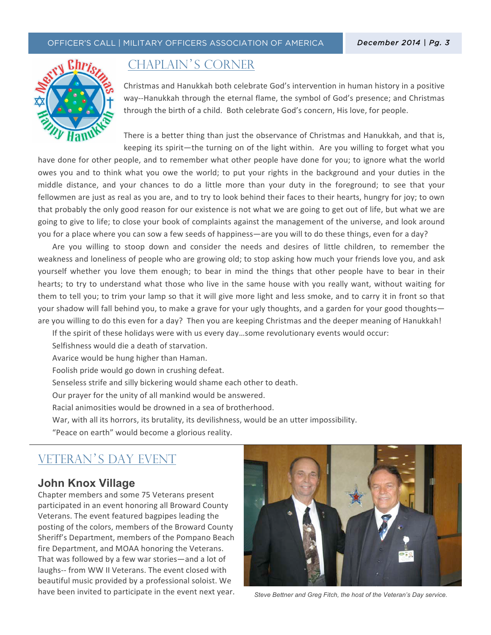

## CHAPLAIN'S CORNER

Christmas and Hanukkah both celebrate God's intervention in human history in a positive way--Hanukkah through the eternal flame, the symbol of God's presence; and Christmas through the birth of a child. Both celebrate God's concern, His love, for people.

There is a better thing than just the observance of Christmas and Hanukkah, and that is, keeping its spirit—the turning on of the light within. Are you willing to forget what you

have done for other people, and to remember what other people have done for you; to ignore what the world owes you and to think what you owe the world; to put your rights in the background and your duties in the middle distance, and your chances to do a little more than your duty in the foreground; to see that your fellowmen are just as real as you are, and to try to look behind their faces to their hearts, hungry for joy; to own that probably the only good reason for our existence is not what we are going to get out of life, but what we are going to give to life; to close your book of complaints against the management of the universe, and look around you for a place where you can sow a few seeds of happiness—are you will to do these things, even for a day?

 $\mathcal{T}_{\mathcal{A}}$  (the text)  $\mathcal{T}_{\mathcal{A}}$  (the text)  $\mathcal{T}_{\mathcal{A}}$  (the text)  $\mathcal{T}_{\mathcal{A}}$  (the text)  $\mathcal{T}_{\mathcal{A}}$ 

Are you willing to stoop down and consider the needs and desires of little children, to remember the weakness and loneliness of people who are growing old; to stop asking how much your friends love you, and ask yourself whether you love them enough; to bear in mind the things that other people have to bear in their hearts; to try to understand what those who live in the same house with you really want, without waiting for them to tell you; to trim your lamp so that it will give more light and less smoke, and to carry it in front so that your shadow will fall behind you, to make a grave for your ugly thoughts, and a garden for your good thoughts are you willing to do this even for a day? Then you are keeping Christmas and the deeper meaning of Hanukkah!

If the spirit of these holidays were with us every day...some revolutionary events would occur:

Selfishness would die a death of starvation.

Avarice would be hung higher than Haman.

Foolish pride would go down in crushing defeat.

Senseless strife and silly bickering would shame each other to death.

Our prayer for the unity of all mankind would be answered.

Racial animosities would be drowned in a sea of brotherhood.

War, with all its horrors, its brutality, its devilishness, would be an utter impossibility.

"Peace on earth" would become a glorious reality.

## VETERAN'S DAY EVENT

#### **John Knox Village**

Chapter members and some 75 Veterans present participated in an event honoring all Broward County Veterans. The event featured bagpipes leading the posting of the colors, members of the Broward County Sheriff's Department, members of the Pompano Beach fire Department, and MOAA honoring the Veterans. That was followed by a few war stories—and a lot of laughs-- from WW II Veterans. The event closed with beautiful music provided by a professional soloist. We have been invited to participate in the event next year.



*Steve Bettner and Greg Fitch, the host of the Veteran's Day service.*